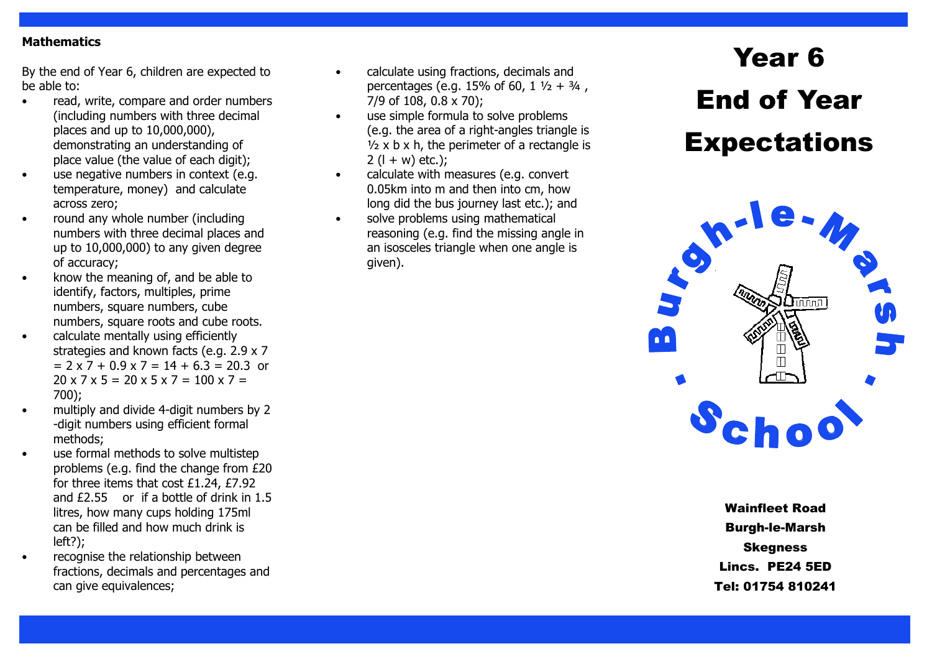#### **Mathematics**

By the end of Year 6, children are expected to be able to:

- read, write, compare and order numbers (including numbers with three decimal places and up to 10,000,000), demonstrating an understanding of place value (the value of each digit);
- use negative numbers in context (e.g. temperature, money) and calculate across zero;
- round any whole number (including numbers with three decimal places and up to 10,000,000) to any given degree of accuracy;
- know the meaning of, and be able to identify, factors, multiples, prime numbers, square numbers, cube numbers, square roots and cube roots.
- calculate mentally using efficiently strategies and known facts (e.g. 2.9 x 7  $= 2 \times 7 + 0.9 \times 7 = 14 + 6.3 = 20.3$  or  $20 \times 7 \times 5 = 20 \times 5 \times 7 = 100 \times 7 =$ 700);
- multiply and divide 4-digit numbers by 2-digit numbers using efficient formal methods;
- use formal methods to solve multistep problems (e.g. find the change from £20 for three items that cost £1.24, £7.92 and £2.55 or if a bottle of drink in 1.5 litres, how many cups holding 175ml can be filled and how much drink is left?);
- recognise the relationship between fractions, decimals and percentages and can give equivalences;
- calculate using fractions, decimals and percentages (e.g. 15% of 60,  $1\frac{1}{2} + \frac{3}{4}$ , 7/9 of 108, 0.8 x 70);
- use simple formula to solve problems (e.g. the area of a right-angles triangle is  $\frac{1}{2}$  x b x h, the perimeter of a rectangle is  $2(1 + w)$  etc.);
- calculate with measures (e.g. convert 0.05km into m and then into cm, how long did the bus journey last etc.); and
- solve problems using mathematical reasoning (e.g. find the missing angle in an isosceles triangle when one angle is given).

# Year 6 End of Year **Expectations**



Wainfleet Road Burgh-le-Marsh Skegness Lincs. PE24 5ED Tel: 01754 810241